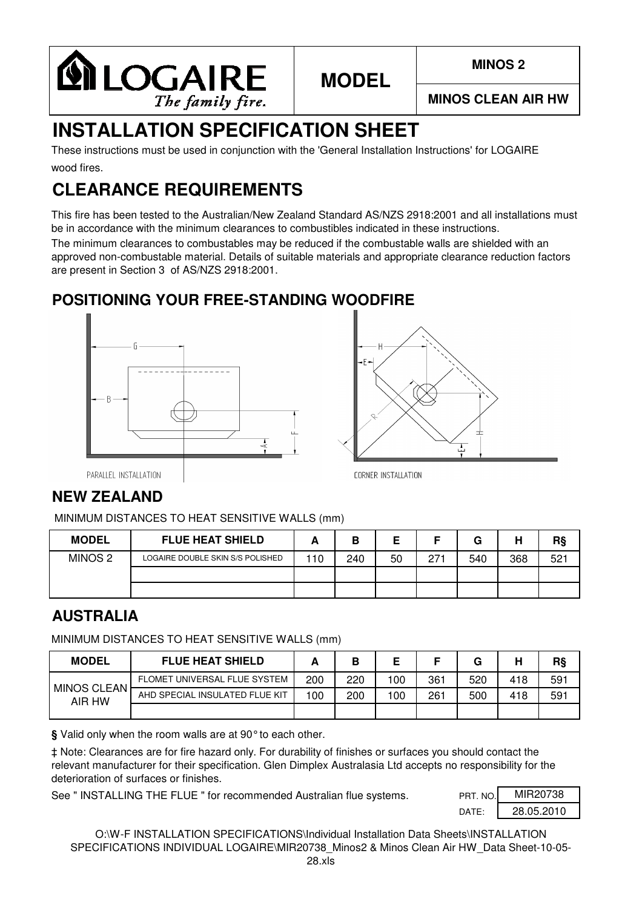

**MINOS CLEAN AIR HW**

# **INSTALLATION SPECIFICATION SHEET**

wood fires. These instructions must be used in conjunction with the 'General Installation Instructions' for LOGAIRE

# **CLEARANCE REQUIREMENTS**

This fire has been tested to the Australian/New Zealand Standard AS/NZS 2918:2001 and all installations must be in accordance with the minimum clearances to combustibles indicated in these instructions.

**MODEL**

The minimum clearances to combustables may be reduced if the combustable walls are shielded with an approved non-combustable material. Details of suitable materials and appropriate clearance reduction factors are present in Section 3 of AS/NZS 2918:2001.

### **POSITIONING YOUR FREE-STANDING WOODFIRE**





PARALLEL INSTALLATION

### **NEW ZEALAND**

MINIMUM DISTANCES TO HEAT SENSITIVE WALLS (mm)

| <b>MODEL</b>       | <b>FLUE HEAT SHIELD</b>          |    | В   |    |     | G   | н   | R§  |
|--------------------|----------------------------------|----|-----|----|-----|-----|-----|-----|
| MINOS <sub>2</sub> | LOGAIRE DOUBLE SKIN S/S POLISHED | 10 | 240 | 50 | 271 | 540 | 368 | 521 |
|                    |                                  |    |     |    |     |     |     |     |
|                    |                                  |    |     |    |     |     |     |     |

#### **AUSTRALIA**

MINIMUM DISTANCES TO HEAT SENSITIVE WALLS (mm)

| <b>MODEL</b>          | <b>FLUE HEAT SHIELD</b>        |     | В   |     |     | G   | н   | RŞ  |
|-----------------------|--------------------------------|-----|-----|-----|-----|-----|-----|-----|
| MINOS CLEAN<br>AIR HW | FLOMET UNIVERSAL FLUE SYSTEM   | 200 | 220 | 100 | 361 | 520 | 418 | 591 |
|                       | AHD SPECIAL INSULATED FLUE KIT | 100 | 200 | 100 | 261 | 500 | 418 | 591 |
|                       |                                |     |     |     |     |     |     |     |

**§** Valid only when the room walls are at 90°to each other.

‡ Note: Clearances are for fire hazard only. For durability of finishes or surfaces you should contact the relevant manufacturer for their specification. Glen Dimplex Australasia Ltd accepts no responsibility for the deterioration of surfaces or finishes.

See " INSTALLING THE FLUE " for recommended Australian flue systems.

| PRT. NO.          | MIR20738   |
|-------------------|------------|
| DATF <sup>.</sup> | 28.05.2010 |

O:\W-F INSTALLATION SPECIFICATIONS\Individual Installation Data Sheets\INSTALLATION SPECIFICATIONS INDIVIDUAL LOGAIRE\MIR20738 Minos2 & Minos Clean Air HW\_Data Sheet-10-05-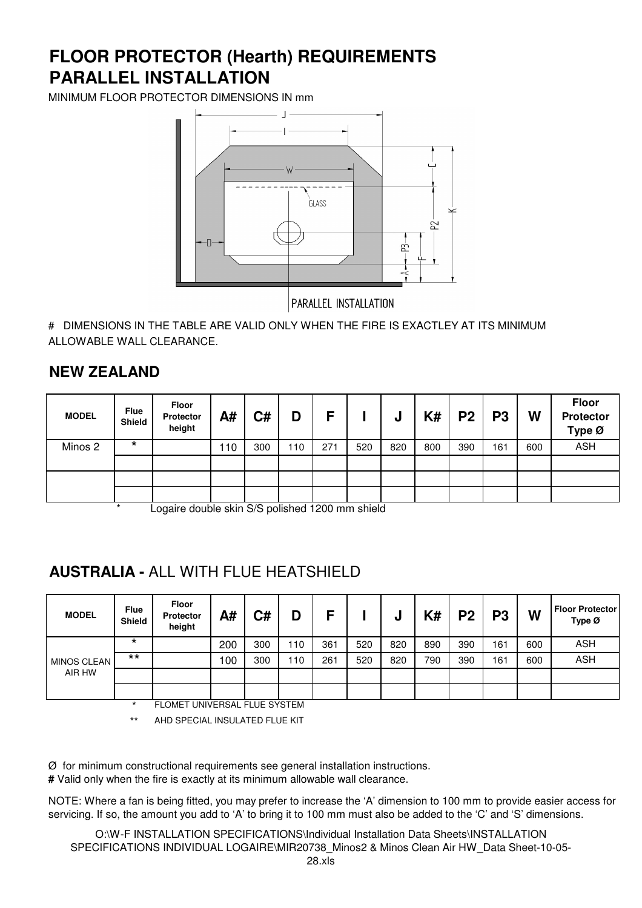# **PARALLEL INSTALLATION FLOOR PROTECTOR (Hearth) REQUIREMENTS**

MINIMUM FLOOR PROTECTOR DIMENSIONS IN mm



PARALLEL INSTALLATION

# DIMENSIONS IN THE TABLE ARE VALID ONLY WHEN THE FIRE IS EXACTLEY AT ITS MINIMUM ALLOWABLE WALL CLEARANCE.

#### **NEW ZEALAND**

| <b>MODEL</b> | <b>Flue</b><br>Shield | Floor<br>Protector<br>height | A#  | C#  | D   | Е   |     | ν   | K#  | P <sub>2</sub> | P <sub>3</sub> | W   | <b>Floor</b><br><b>Protector</b><br>Type Ø |
|--------------|-----------------------|------------------------------|-----|-----|-----|-----|-----|-----|-----|----------------|----------------|-----|--------------------------------------------|
| Minos 2      | $\star$               |                              | 110 | 300 | 110 | 271 | 520 | 820 | 800 | 390            | 161            | 600 | <b>ASH</b>                                 |
|              |                       |                              |     |     |     |     |     |     |     |                |                |     |                                            |
|              |                       |                              |     |     |     |     |     |     |     |                |                |     |                                            |
|              |                       |                              |     |     |     |     |     |     |     |                |                |     |                                            |

Logaire double skin S/S polished 1200 mm shield

### **AUSTRALIA -** ALL WITH FLUE HEATSHIELD

| <b>MODEL</b> | <b>Flue</b><br><b>Shield</b> | Floor<br><b>Protector</b><br>height | A#  | C#                        | D   | с   |     | u   | K#  | P <sub>2</sub> | P3  | W   | <b>Floor Protector</b><br>Type Ø |
|--------------|------------------------------|-------------------------------------|-----|---------------------------|-----|-----|-----|-----|-----|----------------|-----|-----|----------------------------------|
|              | $\star$                      |                                     | 200 | 300                       | 110 | 361 | 520 | 820 | 890 | 390            | 161 | 600 | <b>ASH</b>                       |
| MINOS CLEAN  | $***$                        |                                     | 100 | 300                       | 110 | 261 | 520 | 820 | 790 | 390            | 161 | 600 | <b>ASH</b>                       |
| AIR HW       |                              |                                     |     |                           |     |     |     |     |     |                |     |     |                                  |
|              |                              | _ _ _ _ _ _ _. _ _ _                |     | _ _ _ _ _ _ _ _ _ _ _ _ _ |     |     |     |     |     |                |     |     |                                  |

FLOMET UNIVERSAL FLUE SYSTEM

\*\* AHD SPECIAL INSULATED FLUE KIT

Ø for minimum constructional requirements see general installation instructions.

**#** Valid only when the fire is exactly at its minimum allowable wall clearance.

NOTE: Where a fan is being fitted, you may prefer to increase the 'A' dimension to 100 mm to provide easier access for servicing. If so, the amount you add to 'A' to bring it to 100 mm must also be added to the 'C' and 'S' dimensions.

O:\W-F INSTALLATION SPECIFICATIONS\Individual Installation Data Sheets\INSTALLATION SPECIFICATIONS INDIVIDUAL LOGAIRE\MIR20738 Minos2 & Minos Clean Air HW\_Data Sheet-10-05-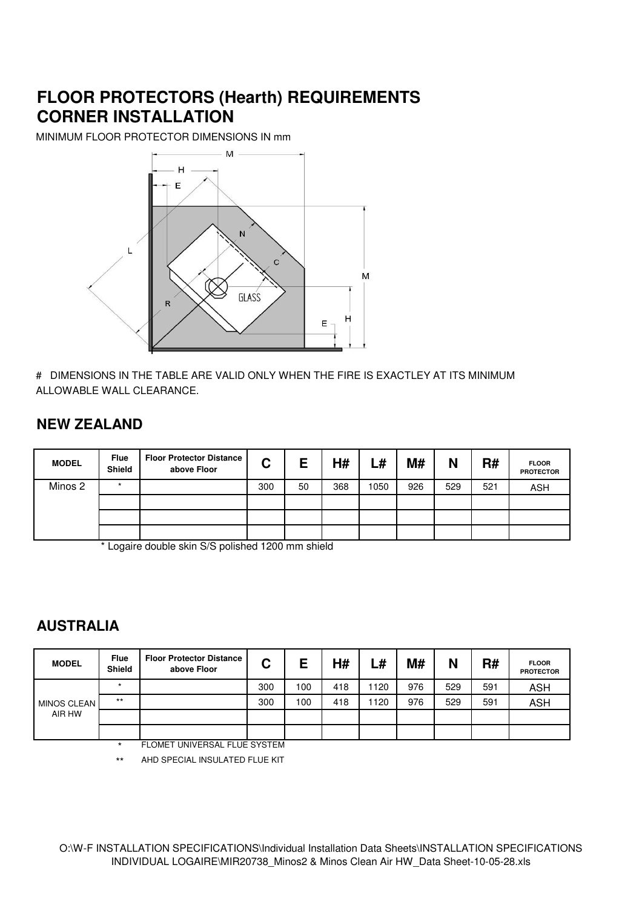## **FLOOR PROTECTORS (Hearth) REQUIREMENTS CORNER INSTALLATION**

MINIMUM FLOOR PROTECTOR DIMENSIONS IN mm



# DIMENSIONS IN THE TABLE ARE VALID ONLY WHEN THE FIRE IS EXACTLEY AT ITS MINIMUM ALLOWABLE WALL CLEARANCE.

#### **NEW ZEALAND**

| <b>MODEL</b> | <b>Flue</b><br><b>Shield</b> | <b>Floor Protector Distance</b><br>above Floor | C   | E  | H#  | L#   | M#  | N   | R#  | <b>FLOOR</b><br><b>PROTECTOR</b> |
|--------------|------------------------------|------------------------------------------------|-----|----|-----|------|-----|-----|-----|----------------------------------|
| Minos 2      | $\star$                      |                                                | 300 | 50 | 368 | 1050 | 926 | 529 | 521 | <b>ASH</b>                       |
|              |                              |                                                |     |    |     |      |     |     |     |                                  |
|              |                              |                                                |     |    |     |      |     |     |     |                                  |
|              |                              |                                                |     |    |     |      |     |     |     |                                  |

\* Logaire double skin S/S polished 1200 mm shield

#### **AUSTRALIA**

| <b>MODEL</b> | <b>Flue</b><br><b>Shield</b> | <b>Floor Protector Distance</b><br>above Floor | C   | E   | H#  | ∟#   | M#  | N   | R#  | <b>FLOOR</b><br><b>PROTECTOR</b> |
|--------------|------------------------------|------------------------------------------------|-----|-----|-----|------|-----|-----|-----|----------------------------------|
|              |                              |                                                | 300 | 100 | 418 | 1120 | 976 | 529 | 591 | <b>ASH</b>                       |
| MINOS CLEAN  | $***$                        |                                                | 300 | 100 | 418 | 1120 | 976 | 529 | 591 | <b>ASH</b>                       |
| AIR HW       |                              |                                                |     |     |     |      |     |     |     |                                  |
|              |                              |                                                |     |     |     |      |     |     |     |                                  |

**FLOMET UNIVERSAL FLUE SYSTEM** 

\*\* AHD SPECIAL INSULATED FLUE KIT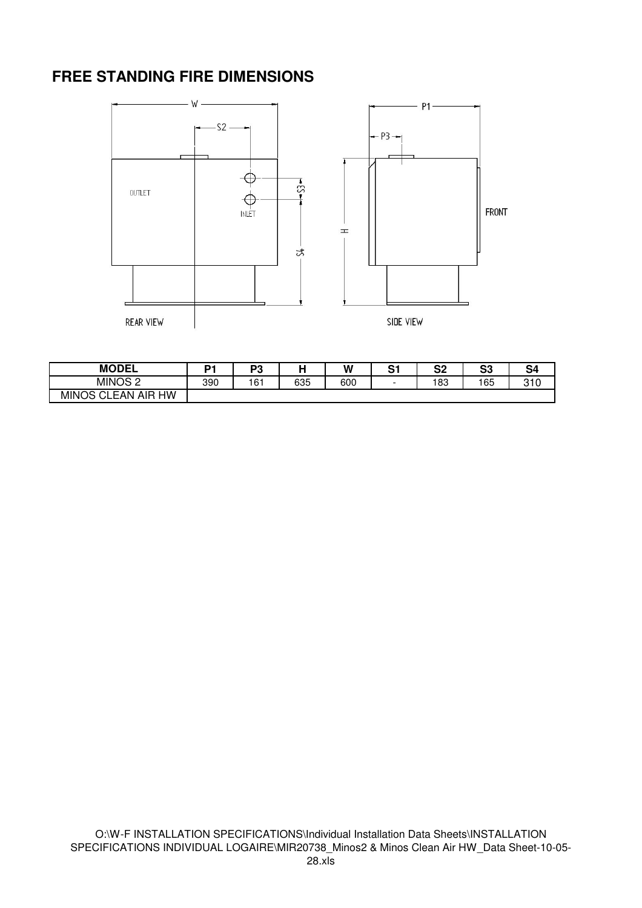#### **FREE STANDING FIRE DIMENSIONS**



| <b>MODEL</b>                               | n.  | D0  |     | W   | C.<br>ັ | ິ<br>ວ∠ | c.<br>ు | S4  |
|--------------------------------------------|-----|-----|-----|-----|---------|---------|---------|-----|
| MINOS <sub>2</sub>                         | 390 | 161 | 635 | 600 | -       | 83      | 165     | 310 |
| НW<br>AIR<br>$\sim$<br><b>MINOS</b><br>FAN |     |     |     |     |         |         |         |     |